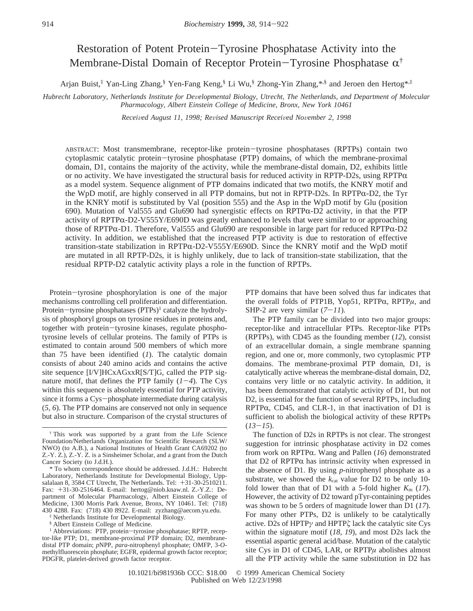# Restoration of Potent Protein-Tyrosine Phosphatase Activity into the Membrane-Distal Domain of Receptor Protein-Tyrosine Phosphatase  $\alpha^{\dagger}$

Arjan Buist,‡ Yan-Ling Zhang,§ Yen-Fang Keng,§ Li Wu,§ Zhong-Yin Zhang,\*,§ and Jeroen den Hertog\*,‡

*Hubrecht Laboratory, Netherlands Institute for De*V*elopmental Biology, Utrecht, The Netherlands, and Department of Molecular Pharmacology, Albert Einstein College of Medicine, Bronx, New York 10461*

*Received August 11, 1998; Revised Manuscript Received November 2, 1998* 

ABSTRACT: Most transmembrane, receptor-like protein-tyrosine phosphatases (RPTPs) contain two cytoplasmic catalytic protein-tyrosine phosphatase (PTP) domains, of which the membrane-proximal domain, D1, contains the majority of the activity, while the membrane-distal domain, D2, exhibits little or no activity. We have investigated the structural basis for reduced activity in RPTP-D2s, using RPTP $\alpha$ as a model system. Sequence alignment of PTP domains indicated that two motifs, the KNRY motif and the WpD motif, are highly conserved in all PTP domains, but not in RPTP-D2s. In RPTP $\alpha$ -D2, the Tyr in the KNRY motif is substituted by Val (position 555) and the Asp in the WpD motif by Glu (position 690). Mutation of Val555 and Glu690 had synergistic effects on RPTPR-D2 activity, in that the PTP activity of RPTPR-D2-V555Y/E690D was greatly enhanced to levels that were similar to or approaching those of RPTPα-D1. Therefore, Val555 and Glu690 are responsible in large part for reduced RPTPα-D2 activity. In addition, we established that the increased PTP activity is due to restoration of effective transition-state stabilization in RPTP $\alpha$ -D2-V555Y/E690D. Since the KNRY motif and the WpD motif are mutated in all RPTP-D2s, it is highly unlikely, due to lack of transition-state stabilization, that the residual RPTP-D2 catalytic activity plays a role in the function of RPTPs.

Protein-tyrosine phosphorylation is one of the major mechanisms controlling cell proliferation and differentiation. Protein-tyrosine phosphatases (PTPs)<sup>1</sup> catalyze the hydrolysis of phosphoryl groups on tyrosine residues in proteins and, together with protein-tyrosine kinases, regulate phosphotyrosine levels of cellular proteins. The family of PTPs is estimated to contain around 500 members of which more than 75 have been identified (*1*). The catalytic domain consists of about 240 amino acids and contains the active site sequence [I/V]HCxAGxxR[S/T]G, called the PTP signature motif, that defines the PTP family  $(1-4)$ . The Cys within this sequence is absolutely essential for PTP activity, since it forms a Cys-phosphate intermediate during catalysis (*5*, *6*). The PTP domains are conserved not only in sequence but also in structure. Comparison of the crystal structures of PTP domains that have been solved thus far indicates that the overall folds of PTP1B, Yop51, RPTP $\alpha$ , RPTP $\mu$ , and SHP-2 are very similar  $(7-11)$ .

The PTP family can be divided into two major groups: receptor-like and intracellular PTPs. Receptor-like PTPs (RPTPs), with CD45 as the founding member (*12*), consist of an extracellular domain, a single membrane spanning region, and one or, more commonly, two cytoplasmic PTP domains. The membrane-proximal PTP domain, D1, is catalytically active whereas the membrane-distal domain, D2, contains very little or no catalytic activity. In addition, it has been demonstrated that catalytic activity of D1, but not D2, is essential for the function of several RPTPs, including  $RPTP\alpha$ , CD45, and CLR-1, in that inactivation of D1 is sufficient to abolish the biological activity of these RPTPs  $(13-15)$ .

The function of D2s in RPTPs is not clear. The strongest suggestion for intrinsic phosphatase activity in D2 comes from work on RPTPR. Wang and Pallen (*16*) demonstrated that  $D2$  of RPTP $\alpha$  has intrinsic activity when expressed in the absence of D1. By using *p*-nitrophenyl phosphate as a substrate, we showed the  $k_{cat}$  value for D2 to be only 10fold lower than that of D1 with a 5-fold higher  $K_m$  (17). However, the activity of D2 toward pTyr-containing peptides was shown to be 5 orders of magnitude lower than D1 (*17*). For many other PTPs, D2 is unlikely to be catalytically active. D2s of HPTP*γ* and HPTP*ú* lack the catalytic site Cys within the signature motif (*18*, *19*), and most D2s lack the essential aspartic general acid/base. Mutation of the catalytic site Cys in D1 of CD45, LAR, or RPTP*µ* abolishes almost all the PTP activity while the same substitution in D2 has

<sup>†</sup> This work was supported by a grant from the Life Science Foundation/Netherlands Organization for Scientific Research (SLW/ NWO) (to A.B.), a National Institutes of Health Grant CA69202 (to Z.-Y. Z.), Z.-Y. Z. is a Sinsheimer Scholar, and a grant from the Dutch Cancer Society (to J.d.H.).

<sup>\*</sup> To whom correspondence should be addressed. J.d.H.: Hubrecht Laboratory, Netherlands Institute for Developmental Biology, Uppsalalaan 8, 3584 CT Utrecht, The Netherlands. Tel:  $+31-30-2510211$ . Fax: +31-30-2516464. E-mail: hertog@niob.knaw.nl. Z.-Y.Z.: Department of Molecular Pharmacology, Albert Einstein College of Medicine, 1300 Morris Park Avenue, Bronx, NY 10461. Tel: (718) 430 4288. Fax: (718) 430 8922. E-mail: zyzhang@aecom.yu.edu.

<sup>‡</sup> Netherlands Institute for Developmental Biology.

<sup>&</sup>lt;sup>§</sup> Albert Einstein College of Medicine.<br><sup>1</sup> Abbreviations: PTP, protein-tyrosine phosphatase; RPTP, recep-<sup>1</sup> Abbreviations: PTP, protein-tyrosine phosphatase; RPTP, receptor-like PTP; D1, membrane-proximal PTP domain; D2, membranedistal PTP domain; *p*NPP, *para*-nitrophenyl phosphate; OMFP, 3-*O*methylfluorescein phosphate; EGFR, epidermal growth factor receptor; PDGFR, platelet-derived growth factor receptor.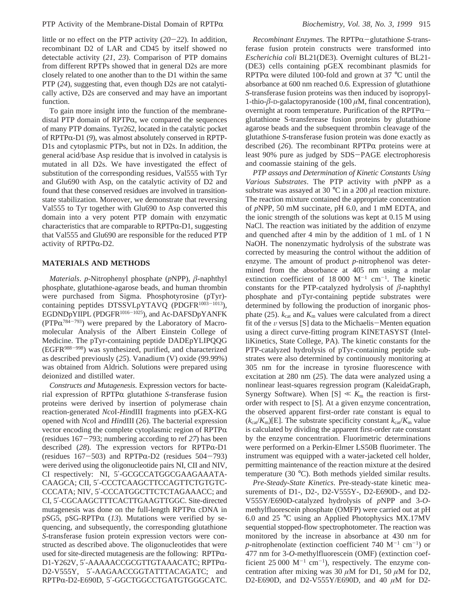little or no effect on the PTP activity (*20*-*22*). In addition, recombinant D2 of LAR and CD45 by itself showed no detectable activity (*21*, *23*). Comparison of PTP domains from different RPTPs showed that in general D2s are more closely related to one another than to the D1 within the same PTP (*24*), suggesting that, even though D2s are not catalytically active, D2s are conserved and may have an important function.

To gain more insight into the function of the membranedistal PTP domain of  $RPTP\alpha$ , we compared the sequences of many PTP domains. Tyr262, located in the catalytic pocket of RPTPR-D1 (*9*), was almost absolutely conserved in RPTP-D1s and cytoplasmic PTPs, but not in D2s. In addition, the general acid/base Asp residue that is involved in catalysis is mutated in all D2s. We have investigated the effect of substitution of the corresponding residues, Val555 with Tyr and Glu690 with Asp, on the catalytic activity of D2 and found that these conserved residues are involved in transitionstate stabilization. Moreover, we demonstrate that reversing Val555 to Tyr together with Glu690 to Asp converted this domain into a very potent PTP domain with enzymatic characteristics that are comparable to  $RPTP\alpha-D1$ , suggesting that Val555 and Glu690 are responsible for the reduced PTP activity of  $RPTP\alpha-D2$ .

# **MATERIALS AND METHODS**

*Materials*. *p*-Nitrophenyl phosphate (*p*NPP), *â*-naphthyl phosphate, glutathione-agarose beads, and human thrombin were purchased from Sigma. Phosphotyrosine (pTyr) containing peptides DTSSVLpYTAVQ (PDGFR<sup>1003-1013</sup>), EGDNDpYIIPL (PDGFR<sup>1016-1025</sup>), and Ac-DAFSDpYANFK (PTP $\alpha^{784-793}$ ) were prepared by the Laboratory of Macromolecular Analysis of the Albert Einstein College of Medicine. The pTyr-containing peptide DADEpYLIPQQG (EGFR988-998) was synthesized, purified, and characterized as described previously (*25*). Vanadium (V) oxide (99.99%) was obtained from Aldrich. Solutions were prepared using deionized and distilled water.

*Constructs and Mutagenesis*. Expression vectors for bacterial expression of  $RPTP\alpha$  glutathione *S*-transferase fusion proteins were derived by insertion of polymerase chain reaction-generated *Nco*I-*Hin*dIII fragments into pGEX-KG opened with *Nco*I and *Hin*dIII (26). The bacterial expression vector encoding the complete cytoplasmic region of  $RPTP\alpha$ (residues 167-793; numbering according to ref *<sup>27</sup>*) has been described (28). The expression vectors for RPTP $\alpha$ -D1 (residues  $167-503$ ) and RPTP $\alpha$ -D2 (residues  $504-793$ ) were derived using the oligonucleotide pairs NI, CII and NIV, CI respectively: NI, 5′-GCGCCATGGCGAAGAAATA-CAAGCA; CII, 5′-CCCTCAAGCTTCCAGTTCTGTGTC-CCCATA; NIV, 5′-CCCATGGCTTCTCTAGAAACC; and CI, 5′-CGCAAGCTTTCACTTGAAGTTGGC. Site-directed mutagenesis was done on the full-length  $RPTP\alpha$  cDNA in pSG5, pSG-RPTP $\alpha$  (13). Mutations were verified by sequencing, and subsequently, the corresponding glutathione *S*-transferase fusion protein expression vectors were constructed as described above. The oligonucleotides that were used for site-directed mutagenesis are the following:  $RPTP\alpha$ -D1-Y262V, 5'-ΑΑΑΑACCGCGTTGTAAACATC; RPTPα-D2-V555Y, 5'-AAGAACCGGTATTTACAGATC; and RPTPR-D2-E690D, 5′-GGCTGGCCTGATGTGGGCATC.

*Recombinant Enzymes*. The RPTPR-glutathione *<sup>S</sup>*-transferase fusion protein constructs were transformed into *Escherichia coli* BL21(DE3). Overnight cultures of BL21- (DE3) cells containing pGEX recombinant plasmids for RPTP $\alpha$  were diluted 100-fold and grown at 37 °C until the absorbance at 600 nm reached 0.6. Expression of glutathione *S*-transferase fusion proteins was then induced by isopropyl-1-thio-*â*-D-galactopyranoside (100 *µ*M, final concentration), overnight at room temperature. Purification of the RPTP $\alpha$ glutathione S-transferease fusion proteins by glutathione agarose beads and the subsequent thrombin cleavage of the glutathione *S*-transferase fusion protein was done exactly as described  $(26)$ . The recombinant RPTP $\alpha$  proteins were at least 90% pure as judged by SDS-PAGE electrophoresis and coomassie staining of the gels.

*PTP assays and Determination of Kinetic Constants Using Various Substrates*. The PTP activity with *p*NPP as a substrate was assayed at 30  $\degree$ C in a 200  $\mu$ l reaction mixture. The reaction mixture contained the appropriate concentration of *p*NPP, 50 mM succinate, pH 6.0, and 1 mM EDTA, and the ionic strength of the solutions was kept at 0.15 M using NaCl. The reaction was initiated by the addition of enzyme and quenched after 4 min by the addition of 1 mL of 1 N NaOH. The nonenzymatic hydrolysis of the substrate was corrected by measuring the control without the addition of enzyme. The amount of product *p*-nitrophenol was determined from the absorbance at 405 nm using a molar extinction coefficient of  $18\,000 \, \text{M}^{-1} \, \text{cm}^{-1}$ . The kinetic constants for the PTP-catalyzed hydrolysis of *â*-naphthyl phosphate and pTyr-containing peptide substrates were determined by following the production of inorganic phosphate (25).  $k_{cat}$  and  $K_m$  values were calculated from a direct fit of the  $\nu$  versus [S] data to the Michaelis-Menten equation using a direct curve-fitting program KINETASYST (IntelliKinetics, State College, PA). The kinetic constants for the PTP-catalyzed hydrolysis of pTyr-containing peptide substrates were also determined by continuously monitoring at 305 nm for the increase in tyrosine fluorescence with excitation at 280 nm (*25*). The data were analyzed using a nonlinear least-squares regression program (KaleidaGraph, Synergy Software). When  $[S] \ll K_m$  the reaction is firstorder with respect to [S]. At a given enzyme concentration, the observed apparent first-order rate constant is equal to  $(k_{cat}/K_m)[E]$ . The substrate specificity constant  $k_{cat}/K_m$  value is calculated by dividing the apparent first-order rate constant by the enzyme concentration. Fluorimetric determinations were performed on a Perkin-Elmer LS50B fluorimeter. The instrument was equipped with a water-jacketed cell holder, permitting maintenance of the reaction mixture at the desired temperature (30 °C). Both methods yielded similar results.

*Pre*-*Steady*-*State Kinetics*. Pre-steady-state kinetic measurements of D1-, D2-, D2-V555Y-, D2-E690D-, and D2- V555Y/E690D-catalyzed hydrolysis of *p*NPP and 3-*O*methylfluorescein phosphate (OMFP) were carried out at pH 6.0 and 25 °C using an Applied Photophysics MX.17MV sequential stopped-flow spectrophotometer. The reaction was monitored by the increase in absorbance at 430 nm for *p*-nitrophenolate (extinction coefficient 740  $M^{-1}$  cm<sup>-1</sup>) or 477 nm for 3-*O*-methylfluorescein (OMF) (extinction coefficient  $25\,000 \, \text{M}^{-1} \, \text{cm}^{-1}$ ), respectively. The enzyme concentration after mixing was 30  $\mu$ M for D1, 50  $\mu$ M for D2, D2-E690D, and D2-V555Y/E690D, and 40 *µ*M for D2-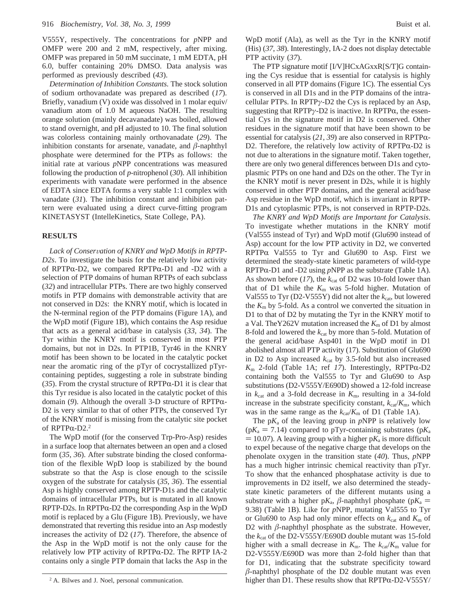V555Y, respectively. The concentrations for *p*NPP and OMFP were 200 and 2 mM, respectively, after mixing. OMFP was prepared in 50 mM succinate, 1 mM EDTA, pH 6.0, buffer containing 20% DMSO. Data analysis was performed as previously described (*43*).

*Determination of Inhibition Constants*. The stock solution of sodium orthovanadate was prepared as described (*17*). Briefly, vanadium (V) oxide was dissolved in 1 molar equiv/ vanadium atom of 1.0 M aqueous NaOH. The resulting orange solution (mainly decavanadate) was boiled, allowed to stand overnight, and pH adjusted to 10. The final solution was colorless containing mainly orthovanadate (*29*). The inhibition constants for arsenate, vanadate, and  $\beta$ -naphthyl phosphate were determined for the PTPs as follows: the initial rate at various *p*NPP concentrations was measured following the production of *p*-nitrophenol (*30*). All inhibition experiments with vanadate were performed in the absence of EDTA since EDTA forms a very stable 1:1 complex with vanadate (*31*). The inhibition constant and inhibition pattern were evaluated using a direct curve-fitting program KINETASYST (IntelleKinetics, State College, PA).

## **RESULTS**

Lack of Conservation of KNRY and WpD Motifs in RPTP-*D2s*. To investigate the basis for the relatively low activity of RPTP $\alpha$ -D2, we compared RPTP $\alpha$ -D1 and -D2 with a selection of PTP domains of human RPTPs of each subclass (*32*) and intracellular PTPs. There are two highly conserved motifs in PTP domains with demonstrable activity that are not conserved in D2s: the KNRY motif, which is located in the N-terminal region of the PTP domains (Figure 1A), and the WpD motif (Figure 1B), which contains the Asp residue that acts as a general acid/base in catalysis (*33*, *34*). The Tyr within the KNRY motif is conserved in most PTP domains, but not in D2s. In PTP1B, Tyr46 in the KNRY motif has been shown to be located in the catalytic pocket near the aromatic ring of the pTyr of cocrystallized pTyrcontaining peptides, suggesting a role in substrate binding  $(35)$ . From the crystal structure of RPTP $\alpha$ -D1 it is clear that this Tyr residue is also located in the catalytic pocket of this domain (9). Although the overall 3-D structure of RPTPα-D2 is very similar to that of other PTPs, the conserved Tyr of the KNRY motif is missing from the catalytic site pocket of RPTP $\alpha$ -D2.<sup>2</sup>

The WpD motif (for the conserved Trp-Pro-Asp) resides in a surface loop that alternates between an open and a closed form (*35*, *36*). After substrate binding the closed conformation of the flexible WpD loop is stabilized by the bound substrate so that the Asp is close enough to the scissile oxygen of the substrate for catalysis (*35*, *36*). The essential Asp is highly conserved among RPTP-D1s and the catalytic domains of intracellular PTPs, but is mutated in all known  $RPTP-D2s$ . In  $RPTP\alpha-D2$  the corresponding Asp in the WpD motif is replaced by a Glu (Figure 1B). Previously, we have demonstrated that reverting this residue into an Asp modestly increases the activity of D2 (*17*). Therefore, the absence of the Asp in the WpD motif is not the only cause for the relatively low PTP activity of RPTP $\alpha$ -D2. The RPTP IA-2 contains only a single PTP domain that lacks the Asp in the

WpD motif (Ala), as well as the Tyr in the KNRY motif (His) (*37*, *38*). Interestingly, IA-2 does not display detectable PTP activity (*37*).

The PTP signature motif [I/V]HCxAGxxR[S/T]G containing the Cys residue that is essential for catalysis is highly conserved in all PTP domains (Figure 1C). The essential Cys is conserved in all D1s and in the PTP domains of the intracellular PTPs. In RPTP*γ*-D2 the Cys is replaced by an Asp, suggesting that RPTPγ-D2 is inactive. In RPTPα, the essential Cys in the signature motif in D2 is conserved. Other residues in the signature motif that have been shown to be essential for catalysis (21, 39) are also conserved in RPTP $\alpha$ -D2. Therefore, the relatively low activity of  $RPTP\alpha-D2$  is not due to alterations in the signature motif. Taken together, there are only two general differences between D1s and cytoplasmic PTPs on one hand and D2s on the other. The Tyr in the KNRY motif is never present in D2s, while it is highly conserved in other PTP domains, and the general acid/base Asp residue in the WpD motif, which is invariant in RPTP-D1s and cytoplasmic PTPs, is not conserved in RPTP-D2s.

*The KNRY and WpD Motifs are Important for Catalysis*. To investigate whether mutations in the KNRY motif (Val555 instead of Tyr) and WpD motif (Glu690 instead of Asp) account for the low PTP activity in D2, we converted  $RPTP\alpha$  Val555 to Tyr and Glu690 to Asp. First we determined the steady-state kinetic parameters of wild-type RPTP $\alpha$ -D1 and -D2 using  $pNPP$  as the substrate (Table 1A). As shown before (17), the  $k_{cat}$  of D2 was 10-fold lower than that of D1 while the  $K<sub>m</sub>$  was 5-fold higher. Mutation of Val555 to Tyr (D2-V555Y) did not alter the  $k_{cat}$ , but lowered the  $K<sub>m</sub>$  by 5-fold. As a control we converted the situation in D1 to that of D2 by mutating the Tyr in the KNRY motif to a Val. The Y262V mutation increased the  $K<sub>m</sub>$  of D1 by almost 8-fold and lowered the *k*cat by more than 5-fold. Mutation of the general acid/base Asp401 in the WpD motif in D1 abolished almost all PTP activity (17). Substitution of Glu690 in D2 to Asp increased  $k_{cat}$  by 3.5-fold but also increased *<sup>K</sup>*<sup>m</sup> 2-fold (Table 1A; ref *<sup>17</sup>*). Interestingly, RPTPR-D2 containing both the Val555 to Tyr and Glu690 to Asp substitutions (D2-V555Y/E690D) showed a 12-fold increase in  $k_{\text{cat}}$  and a 3-fold decrease in  $K_{\text{m}}$ , resulting in a 34-fold increase in the substrate specificity constant,  $k_{\text{cat}}/K_{\text{m}}$ , which was in the same range as the  $k_{cat}/K_m$  of D1 (Table 1A).

The  $pK_a$  of the leaving group in *p*NPP is relatively low  $(pK_a = 7.14)$  compared to pTyr-containing substrates  $(pK_a)$  $= 10.07$ ). A leaving group with a higher p $K_a$  is more difficult to expel because of the negative charge that develops on the phenolate oxygen in the transition state (*40*). Thus, *p*NPP has a much higher intrinsic chemical reactivity than pTyr. To show that the enhanced phosphatase activity is due to improvements in D2 itself, we also determined the steadystate kinetic parameters of the different mutants using a substrate with a higher  $pK_a$ ,  $\beta$ -naphthyl phosphate ( $pK_a$  = 9.38) (Table 1B). Like for *p*NPP, mutating Val555 to Tyr or Glu690 to Asp had only minor effects on  $k_{cat}$  and  $K_m$  of D2 with  $\beta$ -naphthyl phosphate as the substrate. However, the *k*cat of the D2-V555Y/E690D double mutant was 15-fold higher with a small decrease in  $K_m$ . The  $k_{cat}/K_m$  value for D2-V555Y/E690D was more than 2-fold higher than that for D1, indicating that the substrate specificity toward  $\beta$ -naphthyl phosphate of the D2 double mutant was even <sup>2</sup> A. Bilwes and J. Noel, personal communication.  $\frac{1}{2}$  higher than D1. These results show that RPTP $\alpha$ -D2-V555Y/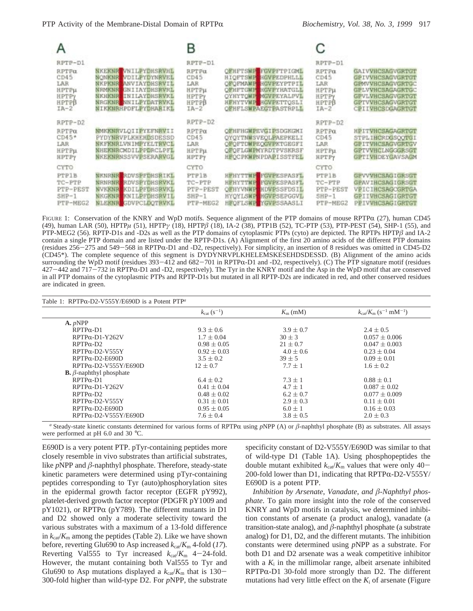|                                                                                           |                                                                                                                                                                                                               | В                                                                           |                                                                                                                                                                             |                                                                                    |                                                                                                                                                 |
|-------------------------------------------------------------------------------------------|---------------------------------------------------------------------------------------------------------------------------------------------------------------------------------------------------------------|-----------------------------------------------------------------------------|-----------------------------------------------------------------------------------------------------------------------------------------------------------------------------|------------------------------------------------------------------------------------|-------------------------------------------------------------------------------------------------------------------------------------------------|
| RPTP-D1<br><b>RPTPu</b><br>CD45<br>LAR<br>НРТРи<br><b>HPTPy</b><br><b>HPTPB</b><br>$IA-2$ | <b>NKEKNR VNILPYDHSRVHE</b><br><b>NONKNR</b> VDILPYDYNRVEL<br><b>NKPKNR ANVIAYDHSRVIL</b><br><b>NEMKNR</b><br>GNIIAYDHSRVRL<br><b>NKHKNR</b><br>INILAYDHSRVKL<br>NRGKNE NNILPYDATRVKL<br>NIKKNRHPDFLPYDHARIKL | RPTF-D1<br>RPTPa<br>CD45<br>LAR<br>НРТРи<br><b>HPTPY</b><br>НРТРВ<br>$IA-2$ | OFHFTSWE FGVPFTPIGML<br><b>HIOFTSWE HGVPEDPHLLL</b><br>OFOFMANH HGVPEYPTPIL<br>OFHFTGNP HGVPYHATGLL<br>OYHYTOWF MCVPEYALPVL<br>HEHYTVMP HGVPETTOSLI<br>OFHFLSWPAEGTPASTRPLL | RPTP-D1<br><b>RPTPa</b><br>CD45<br>LAR<br>HPTPH<br><b>HPTPY</b><br>HPTPB<br>$IA-2$ | <b>GAIVVHCSAGVGRTGT</b><br>GPIVVHCSAGVGRTGT<br>GPMVVHCSAGVGRTGC<br>GPLVVHCSAGAGRTGC<br>GPVLVHCSAGVGRTGT<br>GPTVVHCSAGVGRTGT<br>CPIIVHCSDGAGRTGT |
| $RPTP-D2$<br>RPTPa<br>$CD45*$<br>LAR<br>НРТРи<br>HPTPy                                    | <b>NMKKNRVLOIIPYEFNRVII</b><br>PYDYNRVPLKHEHDSDESSD<br><b>NKEKNRLVNIMPYELTRVCL</b><br>NHEKNRCMDILPPDRCLPFL<br><b>NKEKNRNSSVVPSERARVGL</b>                                                                     | RPTP-D2<br>RPTPa<br>CD45<br>LAR<br><b>НРТРы</b><br>HPTPY                    | OFHFHGWPEVGIPSDGKGMI<br>OYOYTNWSVEOLPAEPKELI<br>OFOFTDWPEOGVPKTGEGFI<br>OFOFLGWPNYRDTPVSKRSF<br><b>HFOCPKWPNPDAPISSTFEL</b>                                                 | RPTP-D2<br><b>RPTPa</b><br>CD45<br>LAR.<br>НРТРИ<br>HPTPY                          | HPITVHCSAGAGRTGT<br>STPLIHCRDGSOOTGI<br>GPITVHCSAGVGRTGV<br>GPTVVHCLNGGGRSGT<br>GPTIVHDEYGAVSAGM                                                |
| CYTO.<br><b>PTP1B</b><br>TC-PTP<br>PTP-PEST<br>$SHP-1$<br>PTP-MEG2                        | <b>NENRNE RDVSPFDHSRIKL</b><br><b>NRNRNR</b> RDVSPYDHSRVKL<br><b>NVKKNR KDILPFDHSRVKL</b><br><b>NKGKNR KNILPFDHSRVIL</b><br><b>NLEKNR</b> GDVPCLDOTRVKL                                                       | CYTO.<br>PTP1B<br>TC-PTP<br>PTP-PEST<br>$SHP-1$<br>PTP-MEG2                 | <b>HEHYTTME FGVPESPASFL</b><br>HEHYTTNE FGVPESPASFL<br><b>OFHYVNWP HDVPSSFDSIL</b><br><b>HYOYLSWP HGVPSEPGGVL</b><br><b>HFOFLSWP YGVPSSAASLI</b>                            | <b>CYTO</b><br><b>PTP1B</b><br>TC-FTP<br>PTP-PEST<br>$SHP-1$<br>PTP-MEG2           | GPVVVHCSAGIGRSGT<br>GPAVIHCSAGIGRSGT<br>VPICIHCSAGOGRTGA<br><b>GPIIVHCSAGIGRTGT</b><br>PPIVVHCSAGIGRTGT                                         |

FIGURE 1: Conservation of the KNRY and WpD motifs. Sequence alignment of the PTP domains of mouse RPTP $\alpha$  (27), human CD45 (49), human LAR (50), HPTP*µ* (51), HPTP*γ* (18), HPTP*â* (18), IA-2 (38), PTP1B (52), TC-PTP (53), PTP-PEST (54), SHP-1 (55), and PTP-MEG2 (56). RPTP-D1s and -D2s as well as the PTP domains of cytoplasmic PTPs (cyto) are depicted. The RPTPs HPTP $\beta$  and IA-2 contain a single PTP domain and are listed under the RPTP-D1s. (A) Alignment of the first 20 amino acids of the different PTP domains (residues 256-275 and 549-568 in RPTPR-D1 and -D2, respectively). For simplicity, an insertion of 8 residues was omitted in CD45-D2 (CD45\*). The complete sequence of this segment is DYDYNRVPLKHELEMSKESEHDSDESSD. (B) Alignment of the amino acids surrounding the WpD motif (residues 393-412 and 682-701 in RPTPR-D1 and -D2, respectively). (C) The PTP signature motif (residues <sup>427</sup>-442 and 717-732 in RPTPR-D1 and -D2, respectively). The Tyr in the KNRY motif and the Asp in the WpD motif that are conserved in all PTP domains of the cytoplasmic PTPs and RPTP-D1s but mutated in all RPTP-D2s are indicated in red, and other conserved residues are indicated in green.

|                                       | $k_{\rm cat}$ (s <sup>-1</sup> ) | $K_{\rm m}$ (mM) | $k_{\text{cat}}/K_{\text{m}}$ (s <sup>-1</sup> mM <sup>-1</sup> ) |
|---------------------------------------|----------------------------------|------------------|-------------------------------------------------------------------|
| $\mathbf{A}$ . <i>p</i> NPP           |                                  |                  |                                                                   |
| $RPTP\alpha-D1$                       | $9.3 \pm 0.6$                    | $3.9 \pm 0.7$    | $2.4 \pm 0.5$                                                     |
| $RPTP\alpha-D1-Y262V$                 | $1.7 \pm 0.04$                   | $30 \pm 3$       | $0.057 \pm 0.006$                                                 |
| $RPTP\alpha-D2$                       | $0.98 \pm 0.05$                  | $21 \pm 0.7$     | $0.047 \pm 0.003$                                                 |
| $RPTP\alpha-D2-V555Y$                 | $0.92 \pm 0.03$                  | $4.0 \pm 0.6$    | $0.23 \pm 0.04$                                                   |
| $RPTP\alpha-D2-E690D$                 | $3.5 \pm 0.2$                    | $39 \pm 5$       | $0.09 \pm 0.01$                                                   |
| $RPTP\alpha-D2-V555Y/E690D$           | $12 \pm 0.7$                     | $7.7 \pm 1$      | $1.6 \pm 0.2$                                                     |
| <b>B.</b> $\beta$ -naphthyl phosphate |                                  |                  |                                                                   |
| $RPTP\alpha-D1$                       | $6.4 \pm 0.2$                    | $7.3 \pm 1$      | $0.88 \pm 0.1$                                                    |
| $RPTP\alpha-D1-Y262V$                 | $0.41 \pm 0.04$                  | $4.7 \pm 1$      | $0.087 \pm 0.02$                                                  |
| $RPTP\alpha-D2$                       | $0.48 \pm 0.02$                  | $6.2 \pm 0.7$    | $0.077 \pm 0.009$                                                 |
| $RPTP\alpha-D2-V555Y$                 | $0.31 \pm 0.01$                  | $2.9 \pm 0.3$    | $0.11 \pm 0.01$                                                   |
| $RPTP\alpha-D2-E690D$                 | $0.95 \pm 0.05$                  | $6.0 \pm 1$      | $0.16 \pm 0.03$                                                   |
| $RPTP\alpha-D2-V555Y/E690D$           | $7.6 \pm 0.4$                    | $3.8 \pm 0.5$    | $2.0 \pm 0.3$                                                     |

*a* Steady-state kinetic constants determined for various forms of RPTP $\alpha$  using *pNPP* (A) or  $\beta$ -naphthyl phosphate (B) as substrates. All assays were performed at pH 6.0 and 30 °C.

E690D is a very potent PTP. pTyr-containing peptides more closely resemble in vivo substrates than artificial substrates, like *p*NPP and *â*-naphthyl phosphate. Therefore, steady-state kinetic parameters were determined using pTyr-containing peptides corresponding to Tyr (auto)phosphorylation sites in the epidermal growth factor receptor (EGFR pY992), platelet-derived growth factor receptor (PDGFR pY1009 and  $pY1021$ ), or RPTP $\alpha$  ( $pY789$ ). The different mutants in D1 and D2 showed only a moderate selectivity toward the various substrates with a maximum of a 13-fold difference in  $k_{\text{cat}}/K_{\text{m}}$  among the peptides (Table 2). Like we have shown before, reverting Glu690 to Asp increased  $k_{\text{cat}}/K_{\text{m}}$  4-fold (17). Reverting Val555 to Tyr increased  $k_{cat}/K_m$  4-24-fold. However, the mutant containing both Val555 to Tyr and Glu690 to Asp mutations displayed a  $k_{\text{cat}}/K_{\text{m}}$  that is 130-300-fold higher than wild-type D2. For *p*NPP, the substrate specificity constant of D2-V555Y/E690D was similar to that of wild-type D1 (Table 1A). Using phosphopeptides the double mutant exhibited  $k_{cat}/K_m$  values that were only  $40-$ 200-fold lower than D1, indicating that RPTP $\alpha$ -D2-V555Y/ E690D is a potent PTP.

*Inhibition by Arsenate*, *Vanadate*, *and â*-*Naphthyl phosphate*. To gain more insight into the role of the conserved KNRY and WpD motifs in catalysis, we determined inhibition constants of arsenate (a product analog), vanadate (a transition-state analog), and  $\beta$ -naphthyl phosphate (a substrate analog) for D1, D2, and the different mutants. The inhibition constants were determined using *p*NPP as a substrate. For both D1 and D2 arsenate was a weak competitive inhibitor with a  $K_i$  in the millimolar range, albeit arsenate inhibited  $RPTP\alpha-D1$  30-fold more strongly than D2. The different mutations had very little effect on the  $K_i$  of arsenate (Figure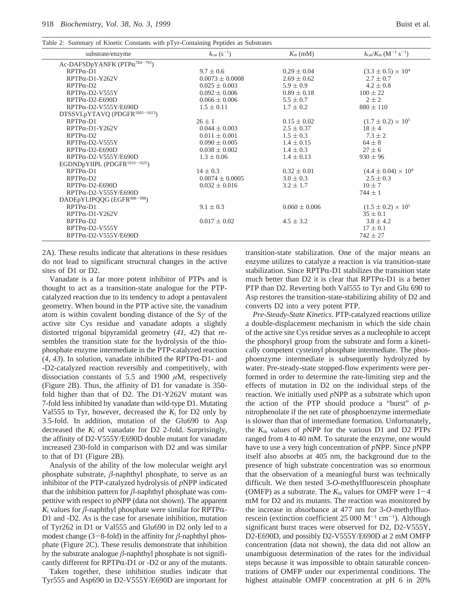Table 2: Summary of Kinetic Constants with pTyr-Containing Peptides as Substrates

| substrate/enzyme                           | $k_{\text{cat}} (s^{-1})$ | $K_{\rm m}$ (mM)  | $k_{\text{cat}}/K_{\text{m}}$ (M <sup>-1</sup> s <sup>-1</sup> ) |  |
|--------------------------------------------|---------------------------|-------------------|------------------------------------------------------------------|--|
| Ac-DAFSDpYANFK (PTPα <sup>784-793</sup> )  |                           |                   |                                                                  |  |
| $RPTP\alpha-D1$                            | $9.7 \pm 0.6$             | $0.29 \pm 0.04$   | $(3.3 \pm 0.5) \times 10^{4}$                                    |  |
| RPTPα-D1-Y262V                             | $0.0073 \pm 0.0008$       | $2.69 \pm 0.62$   | $2.7 \pm 0.7$                                                    |  |
| $RPTP\alpha-D2$                            | $0.025 \pm 0.003$         | $5.9 \pm 0.9$     | $4.2 \pm 0.8$                                                    |  |
| $RPTP\alpha-D2-V555Y$                      | $0.092 \pm 0.006$         | $0.89 \pm 0.18$   | $100 \pm 22$                                                     |  |
| $RPTP\alpha-D2-E690D$                      | $0.066 \pm 0.006$         | $5.5 \pm 0.7$     | $2 \pm 2$                                                        |  |
| $RPTP\alpha-D2-V555Y/E690D$                | $1.5 \pm 0.11$            | $1.7 \pm 0.2$     | $880 \pm 110$                                                    |  |
| DTSSVLpYTAVQ (PDGFR <sup>1003-1013</sup> ) |                           |                   |                                                                  |  |
| $RPTP\alpha-D1$                            | $26 \pm 1$                | $0.15 \pm 0.02$   | $(1.7 \pm 0.2) \times 10^5$                                      |  |
| $RPTP\alpha-D1-Y262V$                      | $0.044 \pm 0.003$         | $2.5 \pm 0.37$    | $18 \pm 4$                                                       |  |
| $RPTP\alpha-D2$                            | $0.011 \pm 0.001$         | $1.5 \pm 0.3$     | $7.3 \pm 2$                                                      |  |
| RPTPα-D2-V555Y                             | $0.090 \pm 0.005$         | $1.4 \pm 0.15$    | $64 \pm 8$                                                       |  |
| $RPTP\alpha-D2-E690D$                      | $0.038 \pm 0.002$         | $1.4 \pm 0.3$     | $27 \pm 6$                                                       |  |
| RPTPα-D2-V555Y/E690D                       | $1.3 \pm 0.06$            | $1.4 \pm 0.13$    | $930 \pm 96$                                                     |  |
| EGDNDpYIIPL (PDGFR <sup>1016-1025</sup> )  |                           |                   |                                                                  |  |
| $RPTP\alpha-D1$                            | $14 \pm 0.3$              | $0.32 \pm 0.01$   | $(4.4 \pm 0.04) \times 10^4$                                     |  |
| $RPTP\alpha-D2$                            | $0.0074 \pm 0.0005$       | $3.0 \pm 0.3$     | $2.5 \pm 0.3$                                                    |  |
| $RPTP\alpha-D2-E690D$                      | $0.032 \pm 0.016$         | $3.2 \pm 1.7$     | $10 \pm 7$                                                       |  |
| $RPTP\alpha-D2-V555Y/E690D$                |                           |                   | $744 \pm 1$                                                      |  |
| DADEpYLIPQQG (EGFR <sup>988-998</sup> )    |                           |                   |                                                                  |  |
| $RPTP\alpha-D1$                            | $9.1 \pm 0.3$             | $0.060 \pm 0.006$ | $(1.5 \pm 0.2) \times 10^5$                                      |  |
| $RPTP\alpha-D1-Y262V$                      |                           |                   | $35 \pm 0.1$                                                     |  |
| $RPTP\alpha-D2$                            | $0.017 \pm 0.02$          | $4.5 \pm 3.2$     | $3.8 \pm 4.2$                                                    |  |
| $RPTP\alpha-D2-V555Y$                      |                           |                   | $17 \pm 0.1$                                                     |  |
| RPTPα-D2-V555Y/E690D                       |                           |                   | $742 \pm 27$                                                     |  |
|                                            |                           |                   |                                                                  |  |

2A). These results indicate that alterations in these residues do not lead to significant structural changes in the active sites of D1 or D2.

Vanadate is a far more potent inhibitor of PTPs and is thought to act as a transition-state analogue for the PTPcatalyzed reaction due to its tendency to adopt a pentavalent geometry. When bound in the PTP active site, the vanadium atom is within covalent bonding distance of the S*γ* of the active site Cys residue and vanadate adopts a slightly distorted trigonal bipyramidal geometry (*41*, *42*) that resembles the transition state for the hydrolysis of the thiophosphate enzyme intermediate in the PTP-catalyzed reaction  $(4, 43)$ . In solution, vanadate inhibited the RPTP $\alpha$ -D1- and -D2-catalyzed reaction reversibly and competitively, with dissociation constants of 5.5 and 1900 *µ*M, respectively (Figure 2B). Thus, the affinity of D1 for vanadate is 350 fold higher than that of D2. The D1-Y262V mutant was 7-fold less inhibited by vanadate than wild-type D1. Mutating Val555 to Tyr, however, decreased the  $K_i$  for D2 only by 3.5-fold. In addition, mutation of the Glu690 to Asp decreased the *K*<sup>i</sup> of vanadate for D2 2-fold. Surprisingly, the affinity of D2-V555Y/E690D double mutant for vanadate increased 230-fold in comparison with D2 and was similar to that of D1 (Figure 2B).

Analysis of the ability of the low molecular weight aryl phosphate substrate, *â*-naphthyl phosphate, to serve as an inhibitor of the PTP-catalyzed hydrolysis of *p*NPP indicated that the inhibition pattern for  $\beta$ -naphthyl phosphate was competitive with respect to *p*NPP (data not shown). The apparent  $K_i$  values for  $\beta$ -naphthyl phosphate were similar for RPTP $\alpha$ -D1 and -D2. As is the case for arsenate inhibition, mutation of Tyr262 in D1 or Val555 and Glu690 in D2 only led to a modest change (3-8-fold) in the affinity for  $\beta$ -naphthyl phosphate (Figure 2C). These results demonstrate that inhibition by the substrate analogue *â*-naphthyl phosphate is not significantly different for  $RPTP\alpha-D1$  or -D2 or any of the mutants.

Taken together, these inhibition studies indicate that Tyr555 and Asp690 in D2-V555Y/E690D are important for transition-state stabilization. One of the major means an enzyme utilizes to catalyze a reaction is via transition-state stabilization. Since  $RPTP\alpha-D1$  stabilizes the transition state much better than  $D2$  it is clear that RPTP $\alpha$ -D1 is a better PTP than D2. Reverting both Val555 to Tyr and Glu 690 to Asp restores the transition-state-stabilizing ability of D2 and converts D2 into a very potent PTP.

*Pre*-*Steady*-*State Kinetics*. PTP-catalyzed reactions utilize a double-displacement mechanism in which the side chain of the active site Cys residue serves as a nucleophile to accept the phosphoryl group from the substrate and form a kinetically competent cysteinyl phosphate intermediate. The phosphoenzyme intermediate is subsequently hydrolyzed by water. Pre-steady-state stopped-flow experiments were performed in order to determine the rate-limiting step and the effects of mutation in D2 on the individual steps of the reaction. We initially used *p*NPP as a substrate which upon the action of the PTP should produce a "burst" of *p*nitrophenolate if the net rate of phosphoenzyme intermediate is slower than that of intermediate formation. Unfortunately, the *K*<sup>m</sup> values of *p*NPP for the various D1 and D2 PTPs ranged from 4 to 40 mM. To saturate the enzyme, one would have to use a very high concentration of *p*NPP. Since *p*NPP itself also absorbs at 405 nm, the background due to the presence of high substrate concentration was so enormous that the observation of a meaningful burst was technically difficult. We then tested 3-*O*-methylfluorescein phosphate (OMFP) as a substrate. The  $K<sub>m</sub>$  values for OMFP were  $1-4$ mM for D2 and its mutants. The reaction was monitored by the increase in absorbance at 477 nm for 3-*O*-methylfluorescein (extinction coefficient  $25\ 000\ M^{-1}\ cm^{-1}$ ). Although significant burst traces were observed for D2, D2-V555Y, D2-E690D, and possibly D2-V555Y/E690D at 2 mM OMFP concentration (data not shown), the data did not allow an unambiguous determination of the rates for the individual steps because it was impossible to obtain saturable concentrations of OMFP under our experimental conditions. The highest attainable OMFP concentration at pH 6 in 20%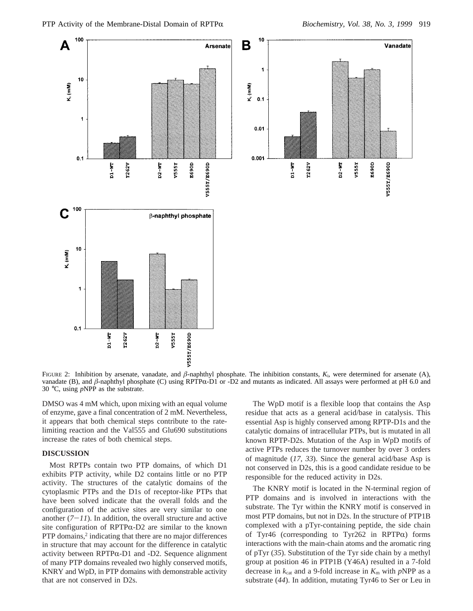

FIGURE 2: Inhibition by arsenate, vanadate, and  $\beta$ -naphthyl phosphate. The inhibition constants,  $K_i$ , were determined for arsenate (A), vanadate (B), and  $\beta$ -naphthyl phosphate (C) using RPTP $\alpha$ -D1 or -D2 and mutants as indicated. All assays were performed at pH 6.0 and 30 °C, using *p*NPP as the substrate.

DMSO was 4 mM which, upon mixing with an equal volume of enzyme, gave a final concentration of 2 mM. Nevertheless, it appears that both chemical steps contribute to the ratelimiting reaction and the Val555 and Glu690 substitutions increase the rates of both chemical steps.

# **DISCUSSION**

Most RPTPs contain two PTP domains, of which D1 exhibits PTP activity, while D2 contains little or no PTP activity. The structures of the catalytic domains of the cytoplasmic PTPs and the D1s of receptor-like PTPs that have been solved indicate that the overall folds and the configuration of the active sites are very similar to one another  $(7-11)$ . In addition, the overall structure and active site configuration of RPTP $\alpha$ -D2 are similar to the known PTP domains, $2$  indicating that there are no major differences in structure that may account for the difference in catalytic activity between RPTP $\alpha$ -D1 and -D2. Sequence alignment of many PTP domains revealed two highly conserved motifs, KNRY and WpD, in PTP domains with demonstrable activity that are not conserved in D2s.

The WpD motif is a flexible loop that contains the Asp residue that acts as a general acid/base in catalysis. This essential Asp is highly conserved among RPTP-D1s and the catalytic domains of intracellular PTPs, but is mutated in all known RPTP-D2s. Mutation of the Asp in WpD motifs of active PTPs reduces the turnover number by over 3 orders of magnitude (*17*, *33*). Since the general acid/base Asp is not conserved in D2s, this is a good candidate residue to be responsible for the reduced activity in D2s.

The KNRY motif is located in the N-terminal region of PTP domains and is involved in interactions with the substrate. The Tyr within the KNRY motif is conserved in most PTP domains, but not in D2s. In the structure of PTP1B complexed with a pTyr-containing peptide, the side chain of Tyr46 (corresponding to Tyr262 in RPTP $\alpha$ ) forms interactions with the main-chain atoms and the aromatic ring of pTyr (*35*). Substitution of the Tyr side chain by a methyl group at position 46 in PTP1B (Y46A) resulted in a 7-fold decrease in  $k_{\text{cat}}$  and a 9-fold increase in  $K_{\text{m}}$  with *pNPP* as a substrate (*44*). In addition, mutating Tyr46 to Ser or Leu in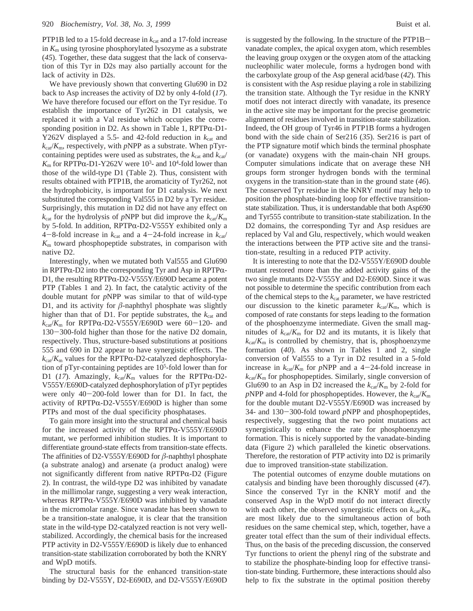PTP1B led to a 15-fold decrease in  $k_{cat}$  and a 17-fold increase in *K*<sup>m</sup> using tyrosine phosphorylated lysozyme as a substrate (*45*). Together, these data suggest that the lack of conservation of this Tyr in D2s may also partially account for the lack of activity in D2s.

We have previously shown that converting Glu690 in D2 back to Asp increases the activity of D2 by only 4-fold (*17*). We have therefore focused our effort on the Tyr residue. To establish the importance of Tyr262 in D1 catalysis, we replaced it with a Val residue which occupies the corresponding position in D2. As shown in Table 1,  $RPTP\alpha-D1$ -Y262V displayed a 5.5- and 42-fold reduction in  $k_{cat}$  and  $k_{\text{cat}}/K_{\text{m}}$ , respectively, with *p*NPP as a substrate. When pTyrcontaining peptides were used as substrates, the  $k_{\text{cat}}$  and  $k_{\text{cat}}$  $K_{\rm m}$  for RPTP $\alpha$ -D1-Y262V were  $10^3$ - and  $10^4$ -fold lower than those of the wild-type D1 (Table 2). Thus consistent with those of the wild-type D1 (Table 2). Thus, consistent with results obtained with PTP1B, the aromaticity of Tyr262, not the hydrophobicity, is important for D1 catalysis. We next substituted the corresponding Val555 in D2 by a Tyr residue. Surprisingly, this mutation in D2 did not have any effect on  $k_{\text{cat}}$  for the hydrolysis of *p*NPP but did improve the  $k_{\text{cat}}/K_{\text{m}}$ by 5-fold. In addition,  $RPTP\alpha-D2-V555Y$  exhibited only a 4-8-fold increase in  $k_{\text{cat}}$  and a 4-24-fold increase in  $k_{\text{cat}}/$ *K*<sup>m</sup> toward phosphopeptide substrates, in comparison with native D2.

Interestingly, when we mutated both Val555 and Glu690 in RPTP $\alpha$ -D2 into the corresponding Tyr and Asp in RPTP $\alpha$ -D1, the resulting RPTP $\alpha$ -D2-V555Y/E690D became a potent PTP (Tables 1 and 2). In fact, the catalytic activity of the double mutant for *p*NPP was similar to that of wild-type D1, and its activity for  $\beta$ -naphthyl phosphate was slightly higher than that of D1. For peptide substrates, the  $k_{cat}$  and  $k_{\text{cat}}/K_{\text{m}}$  for RPTP $\alpha$ -D2-V555Y/E690D were 60-120- and <sup>130</sup>-300-fold higher than those for the native D2 domain, respectively. Thus, structure-based substitutions at positions 555 and 690 in D2 appear to have synergistic effects. The  $k_{\text{cat}}/K_{\text{m}}$  values for the RPTP $\alpha$ -D2-catalyzed dephosphorylation of pTyr-containing peptides are 105 -fold lower than for D1 (*17*). Amazingly, *<sup>k</sup>*cat/*K*<sup>m</sup> values for the RPTPR-D2- V555Y/E690D-catalyzed dephosphorylation of pTyr peptides were only 40-200-fold lower than for D1. In fact, the activity of RPTP $\alpha$ -D2-V555Y/E690D is higher than some PTPs and most of the dual specificity phosphatases.

To gain more insight into the structural and chemical basis for the increased activity of the RPTP $\alpha$ -V555Y/E690D mutant, we performed inhibition studies. It is important to differentiate ground-state effects from transition-state effects. The affinities of D2-V555Y/E690D for *â*-naphthyl phosphate (a substrate analog) and arsenate (a product analog) were not significantly different from native RPTP $\alpha$ -D2 (Figure 2). In contrast, the wild-type D2 was inhibited by vanadate in the millimolar range, suggesting a very weak interaction, whereas  $RPTP\alpha$ -V555Y/E690D was inhibited by vanadate in the micromolar range. Since vanadate has been shown to be a transition-state analogue, it is clear that the transition state in the wild-type D2-catalyzed reaction is not very wellstabilized. Accordingly, the chemical basis for the increased PTP activity in D2-V555Y/E690D is likely due to enhanced transition-state stabilization corroborated by both the KNRY and WpD motifs.

The structural basis for the enhanced transition-state binding by D2-V555Y, D2-E690D, and D2-V555Y/E690D is suggested by the following. In the structure of the PTP1Bvanadate complex, the apical oxygen atom, which resembles the leaving group oxygen or the oxygen atom of the attacking nucleophilic water molecule, forms a hydrogen bond with the carboxylate group of the Asp general acid/base (*42*). This is consistent with the Asp residue playing a role in stabilizing the transition state. Although the Tyr residue in the KNRY motif does not interact directly with vanadate, its presence in the active site may be important for the precise geometric alignment of residues involved in transition-state stabilization. Indeed, the OH group of Tyr46 in PTP1B forms a hydrogen bond with the side chain of Ser216 (*35*). Ser216 is part of the PTP signature motif which binds the terminal phosphate (or vanadate) oxygens with the main-chain NH groups. Computer simulations indicate that on average these NH groups form stronger hydrogen bonds with the terminal oxygens in the transition-state than in the ground state (*46*). The conserved Tyr residue in the KNRY motif may help to position the phosphate-binding loop for effective transitionstate stabilization. Thus, it is understandable that both Asp690 and Tyr555 contribute to transition-state stabilization. In the D2 domains, the corresponding Tyr and Asp residues are replaced by Val and Glu, respectively, which would weaken the interactions between the PTP active site and the transition-state, resulting in a reduced PTP activity.

It is interesting to note that the D2-V555Y/E690D double mutant restored more than the added activity gains of the two single mutants D2-V555Y and D2-E690D. Since it was not possible to determine the specific contribution from each of the chemical steps to the  $k_{\text{cat}}$  parameter, we have restricted our discussion to the kinetic parameter  $k_{cat}/K_m$ , which is composed of rate constants for steps leading to the formation of the phosphoenzyme intermediate. Given the small magnitudes of  $k_{cat}/K_m$  for D2 and its mutants, it is likely that  $k_{\text{cat}}/K_{\text{m}}$  is controlled by chemistry, that is, phosphoenzyme formation (*40*). As shown in Tables 1 and 2, single conversion of Val555 to a Tyr in D2 resulted in a 5-fold increase in  $k_{\text{cat}}/K_{\text{m}}$  for *pNPP* and a 4-24-fold increase in  $k_{\text{cat}}/K_{\text{m}}$  for phosphopeptides. Similarly, single conversion of Glu690 to an Asp in D2 increased the  $k_{\text{cat}}/K_{\text{m}}$  by 2-fold for *p*NPP and 4-fold for phosphopeptides. However, the  $k_{\text{cat}}/K_{\text{m}}$ for the double mutant D2-V555Y/E690D was increased by 34- and 130-300-fold toward *<sup>p</sup>*NPP and phosphopeptides, respectively, suggesting that the two point mutations act synergistically to enhance the rate for phosphoenzyme formation. This is nicely supported by the vanadate-binding data (Figure 2) which paralleled the kinetic observations. Therefore, the restoration of PTP activity into D2 is primarily due to improved transition-state stabilization.

The potential outcomes of enzyme double mutations on catalysis and binding have been thoroughly discussed (*47*). Since the conserved Tyr in the KNRY motif and the conserved Asp in the WpD motif do not interact directly with each other, the observed synergistic effects on  $k_{\text{cat}}/K_{\text{m}}$ are most likely due to the simultaneous action of both residues on the same chemical step, which, together, have a greater total effect than the sum of their individual effects. Thus, on the basis of the preceding discussion, the conserved Tyr functions to orient the phenyl ring of the substrate and to stabilize the phosphate-binding loop for effective transition-state binding. Furthermore, these interactions should also help to fix the substrate in the optimal position thereby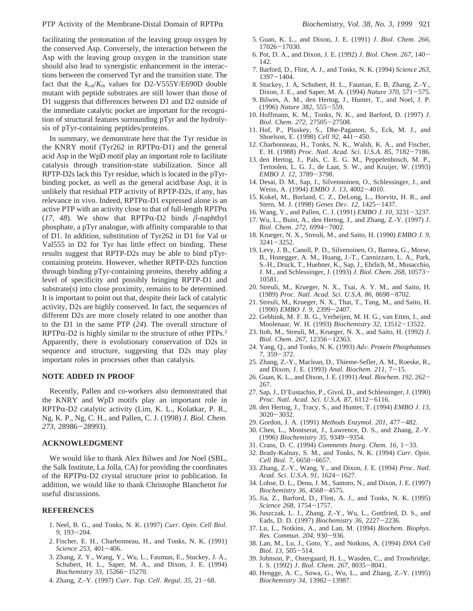facilitating the protonation of the leaving group oxygen by the conserved Asp. Conversely, the interaction between the Asp with the leaving group oxygen in the transition state should also lead to synergistic enhancement in the interactions between the conserved Tyr and the transition state. The fact that the  $k_{\text{cat}}/K_{\text{m}}$  values for D2-V555Y/E690D double mutant with peptide substrates are still lower than those of D1 suggests that differences between D1 and D2 outside of the immediate catalytic pocket are important for the recognition of structural features surrounding pTyr and the hydrolysis of pTyr-containing peptides/proteins.

In summary, we demonstrate here that the Tyr residue in the KNRY motif (Tyr262 in RPTP $\alpha$ -D1) and the general acid Asp in the WpD motif play an important role to facilitate catalysis through transition-state stabilization. Since all RPTP-D2s lack this Tyr residue, which is located in the pTyrbinding pocket, as well as the general acid/base Asp, it is unlikely that residual PTP activity of RPTP-D2s, if any, has relevance in vivo. Indeed,  $RPTP\alpha-D1$  expressed alone is an active PTP with an activity close to that of full-length  $RPTP\alpha$ (17, 48). We show that RPTP $\alpha$ -D2 binds  $\beta$ -naphthyl phosphate, a pTyr analogue, with affinity comparable to that of D1. In addition, substitution of Tyr262 in D1 for Val or Val555 in D2 for Tyr has little effect on binding. These results suggest that RPTP-D2s may be able to bind pTyrcontaining proteins. However, whether RPTP-D2s function through binding pTyr-containing proteins, thereby adding a level of specificity and possibly bringing RPTP-D1 and substrate(s) into close proximity, remains to be determined. It is important to point out that, despite their lack of catalytic activity, D2s are highly conserved. In fact, the sequences of different D2s are more closely related to one another than to the D1 in the same PTP (*24*). The overall structure of  $RPTP\alpha-D2$  is highly similar to the structure of other PTPs.<sup>2</sup> Apparently, there is evolutionary conservation of D2s in sequence and structure, suggesting that D2s may play important roles in processes other than catalysis.

### **NOTE ADDED IN PROOF**

Recently, Pallen and co-workers also demonstrated that the KNRY and WpD motifs play an important role in RPTPα-D2 catalytic activity (Lim, K. L., Kolatkar, P. R., Ng, K. P., Ng, C. H., and Pallen, C. J. (1998) *J. Biol. Chem. <sup>273</sup>*, 28986-28993).

#### **ACKNOWLEDGMENT**

We would like to thank Alex Bilwes and Joe Noel (SBL, the Salk Institute, La Jolla, CA) for providing the coordinates of the RPTPR-D2 crystal structure prior to publication. In addition, we would like to thank Christophe Blanchetot for useful discussions.

### **REFERENCES**

- 1. Neel, B. G., and Tonks, N. K. (1997) *Curr*. *Opin*. *Cell Biol*. *<sup>9</sup>*, 193-204.
- 2. Fischer, E. H., Charbonneau, H., and Tonks, N. K. (1991) *Science 253*, 401-406.
- 3. Zhang, Z. Y., Wang, Y., Wu, L., Fauman, E., Stuckey, J. A., Schubert, H. L., Saper, M. A., and Dixon, J. E. (1994) *Biochemistry 33*, 15266-15270.
- 4. Zhang, Z.-Y. (1997) *Curr*. *Top*. *Cell*. *Regul*. *<sup>35</sup>*, 21-68.
- 5. Guan, K. L., and Dixon, J. E. (1991) *J*. *Biol*. *Chem*. *266*, <sup>17026</sup>-17030.
- 6. Pot, D. A., and Dixon, J. E. (1992) *<sup>J</sup>*. *Biol*. *Chem*. *<sup>267</sup>*, 140- 142.
- 7. Barford, D., Flint, A. J., and Tonks, N. K. (1994) *Science 263*, <sup>1397</sup>-1404.
- 8. Stuckey, J. A, Schubert, H. L., Fauman, E. B, Zhang, Z.-Y., Dixon, J. E., and Saper, M. A. (1994) *Nature 370*, 571-575.
- 9. Bilwes, A. M., den Hertog, J., Hunter, T., and Noel, J. P. (1996) *Nature 382*, 555-559.
- 10. Hoffmann, K. M., Tonks, N. K., and Barford, D. (1997) *J*. *Biol*. *Chem*. *<sup>272</sup>*, 27505-27508.
- 11. Hof, P., Pluskey, S., Dhe-Paganon, S., Eck, M. J., and Shoelson, E. (1998) *Cell 92*, 441-450.
- 12. Charbonneau, H., Tonks, N. K., Walsh, K. A., and Fischer, E. H. (1988) *Proc*. *Natl*. *Acad*. *Sci*. *<sup>U</sup>*.*S*.*A*. *<sup>85</sup>*, 7182-7186.
- 13. den Hertog, J., Pals, C. E. G. M., Peppelenbosch, M. P., Tertoolen, L. G. J., de Laat, S. W., and Kruijer, W. (1993) *EMBO J*. *<sup>12</sup>*, 3789-3798.
- 14. Desai, D. M., Sap, J., Silvennoinen, O., Schlessinger, J., and Weiss, A. (1994) *EMBO J*. *<sup>13</sup>*, 4002-4010.
- 15. Kokel, M., Borland, C. Z., DeLong, L., Horvitz, H. R., and Stern, M. J. (1998) *Genes De*V. *<sup>12</sup>*, 1425-1437.
- 16. Wang, Y., and Pallen, C. J. (1991) *EMBO J*. *<sup>10</sup>*, 3231-3237.
- 17. Wu, L., Buist, A., den Hertog, J., and Zhang, Z.-Y. (1997) *J*. *Biol*. *Chem*. *<sup>272</sup>*, 6994-7002.
- 18. Krueger, N. X., Streuli, M., and Saito, H. (1990) *EMBO J*. *9*, <sup>3241</sup>-3252.
- 19. Levy, J. B., Canoll, P. D., Silvenoinen, O., Barnea, G., Morse, B., Honegger, A. M., Huang, J.-T., Cannizzaro, L. A., Park, S.-H., Druck, T., Huebner, K., Sap, J., Ehrlich, M., Musacchio, J. M., and Schlessinger, J. (1993) *<sup>J</sup>*. *Biol*. *Chem*. *<sup>268</sup>*, 10573- 10581.
- 20. Streuli, M., Krueger, N. X., Tsai, A. Y. M., and Saito, H. (1989) *Proc*. *Natl*. *Acad*. *Sci*. *<sup>U</sup>*.*S*.*A*. *<sup>86</sup>*, 8698-8702.
- 21. Streuli, M., Krueger, N. X., Thai, T., Tang, M., and Saito, H. (1990) *EMBO J*. *<sup>9</sup>*, 2399-2407.
- 22. Gebbink, M. F. B. G., Verheijen, M. H. G., van Etten, I., and Moolenaar, W. H. (1993) *Biochemistry 32*, 13512-13522.
- 23. Itoh, M., Streuli, M., Krueger, N. X., and Saito, H. (1992) *J*. *Biol*. *Chem*. *<sup>267</sup>*, 12356-12363.
- 24. Yang, Q., and Tonks, N. K. (1993) *Ad*V. *Protein Phosphatases <sup>7</sup>*, 359-372.
- 25. Zhang, Z.-Y., Maclean, D., Thieme-Sefler, A. M., Roeske, R., and Dixon, J. E. (1993) *Anal*. *Biochem*. *<sup>211</sup>*, 7-15.
- 26. Guan, K. L., and Dixon, J. E. (1991) *Anal*. *Biochem*. *<sup>192</sup>*, 262- 267.
- 27. Sap, J., D'Eustachio, P., Givol, D., and Schlessinger, J. (1990) *Proc*. *Natl*. *Acad*. *Sci*. *<sup>U</sup>*.*S*.*A*. *<sup>87</sup>*, 6112-6116.
- 28. den Hertog, J., Tracy, S., and Hunter, T. (1994) *EMBO J*. *13*, <sup>3020</sup>-3032.
- 29. Gordon, J. A. (1991) *Methods Enzymol*. *<sup>201</sup>*, 477-482.
- 30. Chen, L., Montserat, J., Lawrence, D. S., and Zhang, Z.-Y. (1996) *Biochemistry 35*, 9349-9354.
- 31. Crans, D. C. (1994) *Comments Inorg*. *Chem*. *<sup>16</sup>*, 1-33.
- 32. Brady-Kalnay, S. M., and Tonks, N. K. (1994) *Curr*. *Opin*. *Cell Biol*. *<sup>7</sup>*, 6650-6657.
- 33. Zhang, Z.-Y., Wang, Y., and Dixon, J. E. (1994) *Proc*. *Natl*. *Acad*. *Sci*. *<sup>U</sup>*.*S*.*A*. *<sup>91</sup>*, 1624-1627.
- 34. Lohse, D. L., Denu, J. M., Santoro, N., and Dixon, J. E. (1997) *Biochemistry 36*, 4568-4575.
- 35. Jia, Z., Barford, D., Flint, A. J., and Tonks, N. K. (1995) *Science 268*, 1754-1757.
- 36. Juszczak, L. J., Zhang, Z.-Y., Wu, L., Gottfried, D. S., and Eads, D. D. (1997) *Biochemistry 36*, 2227-2236.
- 37. Lu, L., Notkins, A., and Lan, M. (1994) *Biochem*. *Biophys*. *Res*. *Commun*. *<sup>204</sup>*, 930-936.
- 38. Lan, M., Lu, J., Goto, Y., and Notkins, A. (1994) *DNA Cell Biol*. *<sup>13</sup>*, 505-514.
- 39. Johnson, P., Ostergaard, H. L., Wasden, C., and Trowbridge, I. S. (1992) *<sup>J</sup>*. *Biol*. *Chem*. *<sup>267</sup>*, 8035-8041.
- 40. Hengge, A. C., Sowa, G., Wu, L., and Zhang, Z.-Y. (1995) *Biochemistry 34*, 13982-13987.